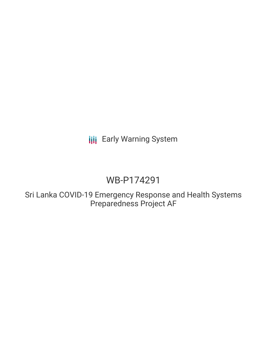**III** Early Warning System

# WB-P174291

Sri Lanka COVID-19 Emergency Response and Health Systems Preparedness Project AF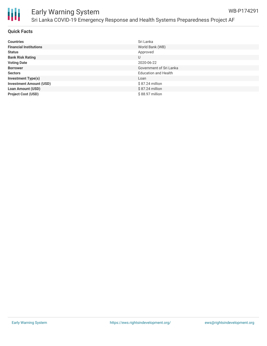

#### Early Warning System Sri Lanka COVID-19 Emergency Response and Health Systems Preparedness Project AF WB-P174291

| <b>Countries</b>               | Sri Lanka                   |
|--------------------------------|-----------------------------|
| <b>Financial Institutions</b>  | World Bank (WB)             |
| <b>Status</b>                  | Approved                    |
| <b>Bank Risk Rating</b>        | U                           |
| <b>Voting Date</b>             | 2020-06-22                  |
| <b>Borrower</b>                | Government of Sri Lanka     |
| <b>Sectors</b>                 | <b>Education and Health</b> |
| <b>Investment Type(s)</b>      | Loan                        |
| <b>Investment Amount (USD)</b> | \$87.24 million             |
| <b>Loan Amount (USD)</b>       | $$87.24$ million            |
| <b>Project Cost (USD)</b>      | \$88.97 million             |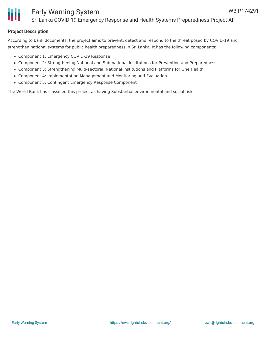

### **Project Description**

According to bank documents, the project aims to prevent, detect and respond to the threat posed by COVID-19 and strengthen national systems for public health preparedness in Sri Lanka. It has the following components:

- Component 1: Emergency COVID-19 Response
- Component 2: Strengthening National and Sub-national Institutions for Prevention and Preparedness
- Component 3: Strengthening Multi-sectoral, National institutions and Platforms for One Health
- Component 4: Implementation Management and Monitoring and Evaluation
- Component 5: Contingent Emergency Response Component

The World Bank has classified this project as having Substantial environmental and social risks.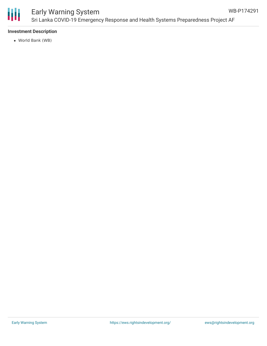

### **Investment Description**

World Bank (WB)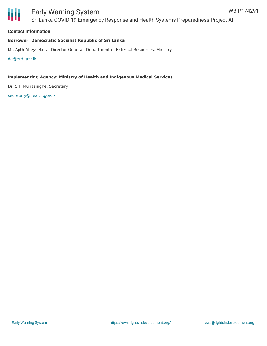## Early Warning System

Sri Lanka COVID-19 Emergency Response and Health Systems Preparedness Project AF

#### **Contact Information**

#### **Borrower: Democratic Socialist Republic of Sri Lanka**

Mr. Ajith Abeysekera, Director General, Department of External Resources, Ministry

[dg@erd.gov.lk](mailto:dg@erd.gov.lk)

#### **Implementing Agency: Ministry of Health and Indigenous Medical Services**

Dr. S.H Munasinghe, Secretary

[secretary@health.gov.lk](mailto:secretary@health.gov.lk)

WB-P174291